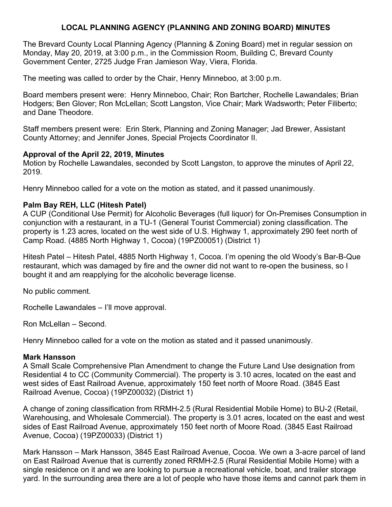# **LOCAL PLANNING AGENCY (PLANNING AND ZONING BOARD) MINUTES**

The Brevard County Local Planning Agency (Planning & Zoning Board) met in regular session on Monday, May 20, 2019, at 3:00 p.m., in the Commission Room, Building C, Brevard County Government Center, 2725 Judge Fran Jamieson Way, Viera, Florida.

The meeting was called to order by the Chair, Henry Minneboo, at 3:00 p.m.

Board members present were: Henry Minneboo, Chair; Ron Bartcher, Rochelle Lawandales; Brian Hodgers; Ben Glover; Ron McLellan; Scott Langston, Vice Chair; Mark Wadsworth; Peter Filiberto; and Dane Theodore.

Staff members present were: Erin Sterk, Planning and Zoning Manager; Jad Brewer, Assistant County Attorney; and Jennifer Jones, Special Projects Coordinator II.

### **Approval of the April 22, 2019, Minutes**

Motion by Rochelle Lawandales, seconded by Scott Langston, to approve the minutes of April 22, 2019.

Henry Minneboo called for a vote on the motion as stated, and it passed unanimously.

### **Palm Bay REH, LLC (Hitesh Patel)**

A CUP (Conditional Use Permit) for Alcoholic Beverages (full liquor) for On-Premises Consumption in conjunction with a restaurant, in a TU-1 (General Tourist Commercial) zoning classification. The property is 1.23 acres, located on the west side of U.S. Highway 1, approximately 290 feet north of Camp Road. (4885 North Highway 1, Cocoa) (19PZ00051) (District 1)

Hitesh Patel – Hitesh Patel, 4885 North Highway 1, Cocoa. I'm opening the old Woody's Bar-B-Que restaurant, which was damaged by fire and the owner did not want to re-open the business, so I bought it and am reapplying for the alcoholic beverage license.

No public comment.

Rochelle Lawandales – I'll move approval.

Ron McLellan – Second.

Henry Minneboo called for a vote on the motion as stated and it passed unanimously.

#### **Mark Hansson**

A Small Scale Comprehensive Plan Amendment to change the Future Land Use designation from Residential 4 to CC (Community Commercial). The property is 3.10 acres, located on the east and west sides of East Railroad Avenue, approximately 150 feet north of Moore Road. (3845 East Railroad Avenue, Cocoa) (19PZ00032) (District 1)

A change of zoning classification from RRMH-2.5 (Rural Residential Mobile Home) to BU-2 (Retail, Warehousing, and Wholesale Commercial). The property is 3.01 acres, located on the east and west sides of East Railroad Avenue, approximately 150 feet north of Moore Road. (3845 East Railroad Avenue, Cocoa) (19PZ00033) (District 1)

Mark Hansson – Mark Hansson, 3845 East Railroad Avenue, Cocoa. We own a 3-acre parcel of land on East Railroad Avenue that is currently zoned RRMH-2.5 (Rural Residential Mobile Home) with a single residence on it and we are looking to pursue a recreational vehicle, boat, and trailer storage yard. In the surrounding area there are a lot of people who have those items and cannot park them in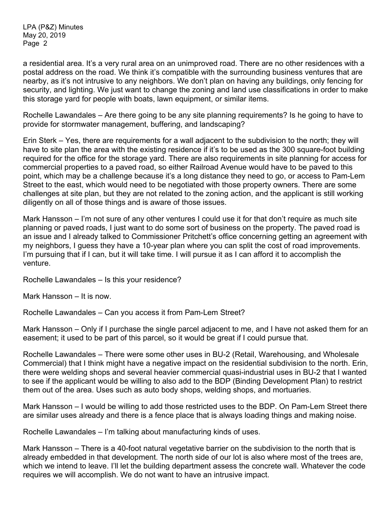a residential area. It's a very rural area on an unimproved road. There are no other residences with a postal address on the road. We think it's compatible with the surrounding business ventures that are nearby, as it's not intrusive to any neighbors. We don't plan on having any buildings, only fencing for security, and lighting. We just want to change the zoning and land use classifications in order to make this storage yard for people with boats, lawn equipment, or similar items.

Rochelle Lawandales – Are there going to be any site planning requirements? Is he going to have to provide for stormwater management, buffering, and landscaping?

Erin Sterk – Yes, there are requirements for a wall adjacent to the subdivision to the north; they will have to site plan the area with the existing residence if it's to be used as the 300 square-foot building required for the office for the storage yard. There are also requirements in site planning for access for commercial properties to a paved road, so either Railroad Avenue would have to be paved to this point, which may be a challenge because it's a long distance they need to go, or access to Pam-Lem Street to the east, which would need to be negotiated with those property owners. There are some challenges at site plan, but they are not related to the zoning action, and the applicant is still working diligently on all of those things and is aware of those issues.

Mark Hansson – I'm not sure of any other ventures I could use it for that don't require as much site planning or paved roads, I just want to do some sort of business on the property. The paved road is an issue and I already talked to Commissioner Pritchett's office concerning getting an agreement with my neighbors, I guess they have a 10-year plan where you can split the cost of road improvements. I'm pursuing that if I can, but it will take time. I will pursue it as I can afford it to accomplish the venture.

Rochelle Lawandales – Is this your residence?

Mark Hansson – It is now.

Rochelle Lawandales – Can you access it from Pam-Lem Street?

Mark Hansson – Only if I purchase the single parcel adjacent to me, and I have not asked them for an easement; it used to be part of this parcel, so it would be great if I could pursue that.

Rochelle Lawandales – There were some other uses in BU-2 (Retail, Warehousing, and Wholesale Commercial) that I think might have a negative impact on the residential subdivision to the north. Erin, there were welding shops and several heavier commercial quasi-industrial uses in BU-2 that I wanted to see if the applicant would be willing to also add to the BDP (Binding Development Plan) to restrict them out of the area. Uses such as auto body shops, welding shops, and mortuaries.

Mark Hansson – I would be willing to add those restricted uses to the BDP. On Pam-Lem Street there are similar uses already and there is a fence place that is always loading things and making noise.

Rochelle Lawandales – I'm talking about manufacturing kinds of uses.

Mark Hansson – There is a 40-foot natural vegetative barrier on the subdivision to the north that is already embedded in that development. The north side of our lot is also where most of the trees are, which we intend to leave. I'll let the building department assess the concrete wall. Whatever the code requires we will accomplish. We do not want to have an intrusive impact.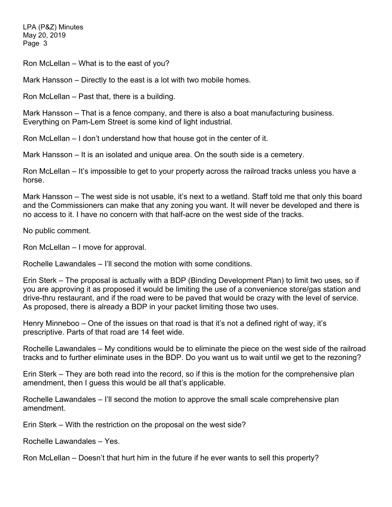Ron McLellan – What is to the east of you?

Mark Hansson – Directly to the east is a lot with two mobile homes.

Ron McLellan – Past that, there is a building.

Mark Hansson – That is a fence company, and there is also a boat manufacturing business. Everything on Pam-Lem Street is some kind of light industrial.

Ron McLellan – I don't understand how that house got in the center of it.

Mark Hansson – It is an isolated and unique area. On the south side is a cemetery.

Ron McLellan – It's impossible to get to your property across the railroad tracks unless you have a horse.

Mark Hansson – The west side is not usable, it's next to a wetland. Staff told me that only this board and the Commissioners can make that any zoning you want. It will never be developed and there is no access to it. I have no concern with that half-acre on the west side of the tracks.

No public comment.

Ron McLellan – I move for approval.

Rochelle Lawandales – I'll second the motion with some conditions.

Erin Sterk – The proposal is actually with a BDP (Binding Development Plan) to limit two uses, so if you are approving it as proposed it would be limiting the use of a convenience store/gas station and drive-thru restaurant, and if the road were to be paved that would be crazy with the level of service. As proposed, there is already a BDP in your packet limiting those two uses.

Henry Minneboo – One of the issues on that road is that it's not a defined right of way, it's prescriptive. Parts of that road are 14 feet wide.

Rochelle Lawandales – My conditions would be to eliminate the piece on the west side of the railroad tracks and to further eliminate uses in the BDP. Do you want us to wait until we get to the rezoning?

Erin Sterk – They are both read into the record, so if this is the motion for the comprehensive plan amendment, then I guess this would be all that's applicable.

Rochelle Lawandales – I'll second the motion to approve the small scale comprehensive plan amendment.

Erin Sterk – With the restriction on the proposal on the west side?

Rochelle Lawandales – Yes.

Ron McLellan – Doesn't that hurt him in the future if he ever wants to sell this property?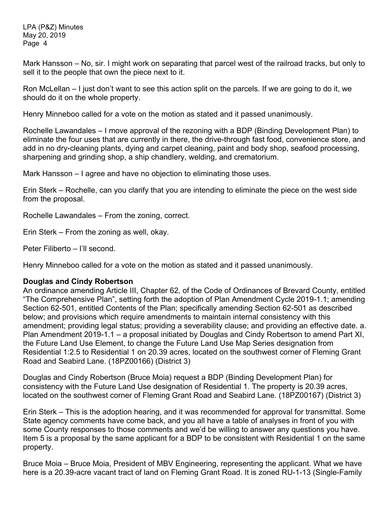Mark Hansson – No, sir. I might work on separating that parcel west of the railroad tracks, but only to sell it to the people that own the piece next to it.

Ron McLellan – I just don't want to see this action split on the parcels. If we are going to do it, we should do it on the whole property.

Henry Minneboo called for a vote on the motion as stated and it passed unanimously.

Rochelle Lawandales – I move approval of the rezoning with a BDP (Binding Development Plan) to eliminate the four uses that are currently in there, the drive-through fast food, convenience store, and add in no dry-cleaning plants, dying and carpet cleaning, paint and body shop, seafood processing, sharpening and grinding shop, a ship chandlery, welding, and crematorium.

Mark Hansson – I agree and have no objection to eliminating those uses.

Erin Sterk – Rochelle, can you clarify that you are intending to eliminate the piece on the west side from the proposal.

Rochelle Lawandales – From the zoning, correct.

Erin Sterk – From the zoning as well, okay.

Peter Filiberto – I'll second.

Henry Minneboo called for a vote on the motion as stated and it passed unanimously.

## **Douglas and Cindy Robertson**

An ordinance amending Article III, Chapter 62, of the Code of Ordinances of Brevard County, entitled "The Comprehensive Plan", setting forth the adoption of Plan Amendment Cycle 2019-1.1; amending Section 62-501, entitled Contents of the Plan; specifically amending Section 62-501 as described below; and provisions which require amendments to maintain internal consistency with this amendment; providing legal status; providing a severability clause; and providing an effective date. a. Plan Amendment 2019-1.1 – a proposal initiated by Douglas and Cindy Robertson to amend Part XI, the Future Land Use Element, to change the Future Land Use Map Series designation from Residential 1:2.5 to Residential 1 on 20.39 acres, located on the southwest corner of Fleming Grant Road and Seabird Lane. (18PZ00166) (District 3)

Douglas and Cindy Robertson (Bruce Moia) request a BDP (Binding Development Plan) for consistency with the Future Land Use designation of Residential 1. The property is 20.39 acres, located on the southwest corner of Fleming Grant Road and Seabird Lane. (18PZ00167) (District 3)

Erin Sterk – This is the adoption hearing, and it was recommended for approval for transmittal. Some State agency comments have come back, and you all have a table of analyses in front of you with some County responses to those comments and we'd be willing to answer any questions you have. Item 5 is a proposal by the same applicant for a BDP to be consistent with Residential 1 on the same property.

Bruce Moia – Bruce Moia, President of MBV Engineering, representing the applicant. What we have here is a 20.39-acre vacant tract of land on Fleming Grant Road. It is zoned RU-1-13 (Single-Family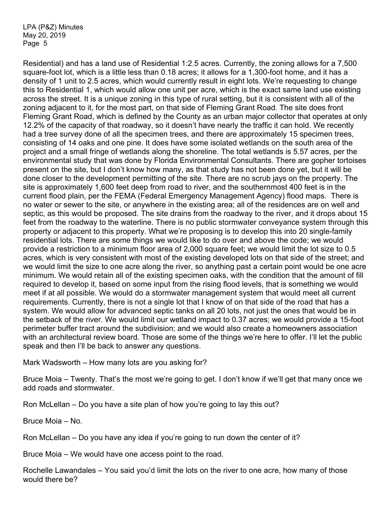Residential) and has a land use of Residential 1:2.5 acres. Currently, the zoning allows for a 7,500 square-foot lot, which is a little less than 0.18 acres; it allows for a 1,300-foot home, and it has a density of 1 unit to 2.5 acres, which would currently result in eight lots. We're requesting to change this to Residential 1, which would allow one unit per acre, which is the exact same land use existing across the street. It is a unique zoning in this type of rural setting, but it is consistent with all of the zoning adjacent to it, for the most part, on that side of Fleming Grant Road. The site does front Fleming Grant Road, which is defined by the County as an urban major collector that operates at only 12.2% of the capacity of that roadway, so it doesn't have nearly the traffic it can hold. We recently had a tree survey done of all the specimen trees, and there are approximately 15 specimen trees, consisting of 14 oaks and one pine. It does have some isolated wetlands on the south area of the project and a small fringe of wetlands along the shoreline. The total wetlands is 5.57 acres, per the environmental study that was done by Florida Environmental Consultants. There are gopher tortoises present on the site, but I don't know how many, as that study has not been done yet, but it will be done closer to the development permitting of the site. There are no scrub jays on the property. The site is approximately 1,600 feet deep from road to river, and the southernmost 400 feet is in the current flood plain, per the FEMA (Federal Emergency Management Agency) flood maps. There is no water or sewer to the site, or anywhere in the existing area; all of the residences are on well and septic, as this would be proposed. The site drains from the roadway to the river, and it drops about 15 feet from the roadway to the waterline. There is no public stormwater conveyance system through this property or adjacent to this property. What we're proposing is to develop this into 20 single-family residential lots. There are some things we would like to do over and above the code; we would provide a restriction to a minimum floor area of 2,000 square feet; we would limit the lot size to 0.5 acres, which is very consistent with most of the existing developed lots on that side of the street; and we would limit the size to one acre along the river, so anything past a certain point would be one acre minimum. We would retain all of the existing specimen oaks, with the condition that the amount of fill required to develop it, based on some input from the rising flood levels, that is something we would meet if at all possible. We would do a stormwater management system that would meet all current requirements. Currently, there is not a single lot that I know of on that side of the road that has a system. We would allow for advanced septic tanks on all 20 lots, not just the ones that would be in the setback of the river. We would limit our wetland impact to 0.37 acres; we would provide a 15-foot perimeter buffer tract around the subdivision; and we would also create a homeowners association with an architectural review board. Those are some of the things we're here to offer. I'll let the public speak and then I'll be back to answer any questions.

Mark Wadsworth – How many lots are you asking for?

Bruce Moia – Twenty. That's the most we're going to get. I don't know if we'll get that many once we add roads and stormwater.

Ron McLellan – Do you have a site plan of how you're going to lay this out?

Bruce Moia – No.

Ron McLellan – Do you have any idea if you're going to run down the center of it?

Bruce Moia – We would have one access point to the road.

Rochelle Lawandales – You said you'd limit the lots on the river to one acre, how many of those would there be?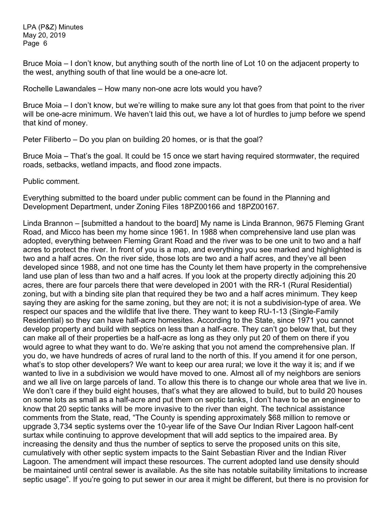Bruce Moia – I don't know, but anything south of the north line of Lot 10 on the adjacent property to the west, anything south of that line would be a one-acre lot.

Rochelle Lawandales – How many non-one acre lots would you have?

Bruce Moia – I don't know, but we're willing to make sure any lot that goes from that point to the river will be one-acre minimum. We haven't laid this out, we have a lot of hurdles to jump before we spend that kind of money.

Peter Filiberto – Do you plan on building 20 homes, or is that the goal?

Bruce Moia – That's the goal. It could be 15 once we start having required stormwater, the required roads, setbacks, wetland impacts, and flood zone impacts.

Public comment.

Everything submitted to the board under public comment can be found in the Planning and Development Department, under Zoning Files 18PZ00166 and 18PZ00167.

Linda Brannon – [submitted a handout to the board] My name is Linda Brannon, 9675 Fleming Grant Road, and Micco has been my home since 1961. In 1988 when comprehensive land use plan was adopted, everything between Fleming Grant Road and the river was to be one unit to two and a half acres to protect the river. In front of you is a map, and everything you see marked and highlighted is two and a half acres. On the river side, those lots are two and a half acres, and they've all been developed since 1988, and not one time has the County let them have property in the comprehensive land use plan of less than two and a half acres. If you look at the property directly adjoining this 20 acres, there are four parcels there that were developed in 2001 with the RR-1 (Rural Residential) zoning, but with a binding site plan that required they be two and a half acres minimum. They keep saying they are asking for the same zoning, but they are not; it is not a subdivision-type of area. We respect our spaces and the wildlife that live there. They want to keep RU-1-13 (Single-Family Residential) so they can have half-acre homesites. According to the State, since 1971 you cannot develop property and build with septics on less than a half-acre. They can't go below that, but they can make all of their properties be a half-acre as long as they only put 20 of them on there if you would agree to what they want to do. We're asking that you not amend the comprehensive plan. If you do, we have hundreds of acres of rural land to the north of this. If you amend it for one person, what's to stop other developers? We want to keep our area rural; we love it the way it is; and if we wanted to live in a subdivision we would have moved to one. Almost all of my neighbors are seniors and we all live on large parcels of land. To allow this there is to change our whole area that we live in. We don't care if they build eight houses, that's what they are allowed to build, but to build 20 houses on some lots as small as a half-acre and put them on septic tanks, I don't have to be an engineer to know that 20 septic tanks will be more invasive to the river than eight. The technical assistance comments from the State, read, "The County is spending approximately \$68 million to remove or upgrade 3,734 septic systems over the 10-year life of the Save Our Indian River Lagoon half-cent surtax while continuing to approve development that will add septics to the impaired area. By increasing the density and thus the number of septics to serve the proposed units on this site, cumulatively with other septic system impacts to the Saint Sebastian River and the Indian River Lagoon. The amendment will impact these resources. The current adopted land use density should be maintained until central sewer is available. As the site has notable suitability limitations to increase septic usage". If you're going to put sewer in our area it might be different, but there is no provision for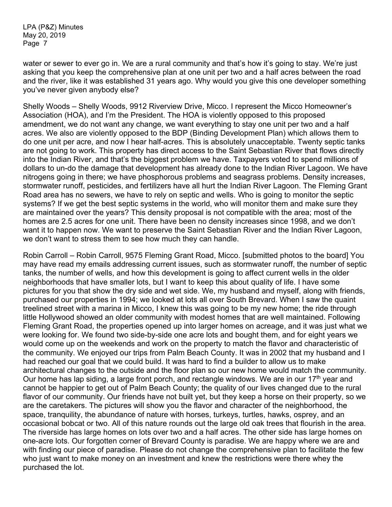water or sewer to ever go in. We are a rural community and that's how it's going to stay. We're just asking that you keep the comprehensive plan at one unit per two and a half acres between the road and the river, like it was established 31 years ago. Why would you give this one developer something you've never given anybody else?

Shelly Woods – Shelly Woods, 9912 Riverview Drive, Micco. I represent the Micco Homeowner's Association (HOA), and I'm the President. The HOA is violently opposed to this proposed amendment, we do not want any change, we want everything to stay one unit per two and a half acres. We also are violently opposed to the BDP (Binding Development Plan) which allows them to do one unit per acre, and now I hear half-acres. This is absolutely unacceptable. Twenty septic tanks are not going to work. This property has direct access to the Saint Sebastian River that flows directly into the Indian River, and that's the biggest problem we have. Taxpayers voted to spend millions of dollars to un-do the damage that development has already done to the Indian River Lagoon. We have nitrogens going in there; we have phosphorous problems and seagrass problems. Density increases, stormwater runoff, pesticides, and fertilizers have all hurt the Indian River Lagoon. The Fleming Grant Road area has no sewers, we have to rely on septic and wells. Who is going to monitor the septic systems? If we get the best septic systems in the world, who will monitor them and make sure they are maintained over the years? This density proposal is not compatible with the area; most of the homes are 2.5 acres for one unit. There have been no density increases since 1998, and we don't want it to happen now. We want to preserve the Saint Sebastian River and the Indian River Lagoon, we don't want to stress them to see how much they can handle.

Robin Carroll – Robin Carroll, 9575 Fleming Grant Road, Micco. [submitted photos to the board] You may have read my emails addressing current issues, such as stormwater runoff, the number of septic tanks, the number of wells, and how this development is going to affect current wells in the older neighborhoods that have smaller lots, but I want to keep this about quality of life. I have some pictures for you that show the dry side and wet side. We, my husband and myself, along with friends, purchased our properties in 1994; we looked at lots all over South Brevard. When I saw the quaint treelined street with a marina in Micco, I knew this was going to be my new home; the ride through little Hollywood showed an older community with modest homes that are well maintained. Following Fleming Grant Road, the properties opened up into larger homes on acreage, and it was just what we were looking for. We found two side-by-side one acre lots and bought them, and for eight years we would come up on the weekends and work on the property to match the flavor and characteristic of the community. We enjoyed our trips from Palm Beach County. It was in 2002 that my husband and I had reached our goal that we could build. It was hard to find a builder to allow us to make architectural changes to the outside and the floor plan so our new home would match the community. Our home has lap siding, a large front porch, and rectangle windows. We are in our 17<sup>th</sup> year and cannot be happier to get out of Palm Beach County; the quality of our lives changed due to the rural flavor of our community. Our friends have not built yet, but they keep a horse on their property, so we are the caretakers. The pictures will show you the flavor and character of the neighborhood, the space, tranquility, the abundance of nature with horses, turkeys, turtles, hawks, osprey, and an occasional bobcat or two. All of this nature rounds out the large old oak trees that flourish in the area. The riverside has large homes on lots over two and a half acres. The other side has large homes on one-acre lots. Our forgotten corner of Brevard County is paradise. We are happy where we are and with finding our piece of paradise. Please do not change the comprehensive plan to facilitate the few who just want to make money on an investment and knew the restrictions were there whey the purchased the lot.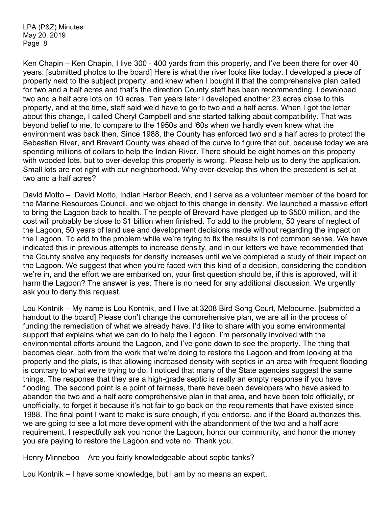Ken Chapin – Ken Chapin, I live 300 - 400 yards from this property, and I've been there for over 40 years. [submitted photos to the board] Here is what the river looks like today. I developed a piece of property next to the subject property, and knew when I bought it that the comprehensive plan called for two and a half acres and that's the direction County staff has been recommending. I developed two and a half acre lots on 10 acres. Ten years later I developed another 23 acres close to this property, and at the time, staff said we'd have to go to two and a half acres. When I got the letter about this change, I called Cheryl Campbell and she started talking about compatibility. That was beyond belief to me, to compare to the 1950s and '60s when we hardly even knew what the environment was back then. Since 1988, the County has enforced two and a half acres to protect the Sebastian River, and Brevard County was ahead of the curve to figure that out, because today we are spending millions of dollars to help the Indian River. There should be eight homes on this property with wooded lots, but to over-develop this property is wrong. Please help us to deny the application. Small lots are not right with our neighborhood. Why over-develop this when the precedent is set at two and a half acres?

David Motto – David Motto, Indian Harbor Beach, and I serve as a volunteer member of the board for the Marine Resources Council, and we object to this change in density. We launched a massive effort to bring the Lagoon back to health. The people of Brevard have pledged up to \$500 million, and the cost will probably be close to \$1 billion when finished. To add to the problem, 50 years of neglect of the Lagoon, 50 years of land use and development decisions made without regarding the impact on the Lagoon. To add to the problem while we're trying to fix the results is not common sense. We have indicated this in previous attempts to increase density, and in our letters we have recommended that the County shelve any requests for density increases until we've completed a study of their impact on the Lagoon. We suggest that when you're faced with this kind of a decision, considering the condition we're in, and the effort we are embarked on, your first question should be, if this is approved, will it harm the Lagoon? The answer is yes. There is no need for any additional discussion. We urgently ask you to deny this request.

Lou Kontnik – My name is Lou Kontnik, and I live at 3208 Bird Song Court, Melbourne. [submitted a handout to the board] Please don't change the comprehensive plan, we are all in the process of funding the remediation of what we already have. I'd like to share with you some environmental support that explains what we can do to help the Lagoon. I'm personally involved with the environmental efforts around the Lagoon, and I've gone down to see the property. The thing that becomes clear, both from the work that we're doing to restore the Lagoon and from looking at the property and the plats, is that allowing increased density with septics in an area with frequent flooding is contrary to what we're trying to do. I noticed that many of the State agencies suggest the same things. The response that they are a high-grade septic is really an empty response if you have flooding. The second point is a point of fairness, there have been developers who have asked to abandon the two and a half acre comprehensive plan in that area, and have been told officially, or unofficially, to forget it because it's not fair to go back on the requirements that have existed since 1988. The final point I want to make is sure enough, if you endorse, and if the Board authorizes this, we are going to see a lot more development with the abandonment of the two and a half acre requirement. I respectfully ask you honor the Lagoon, honor our community, and honor the money you are paying to restore the Lagoon and vote no. Thank you.

Henry Minneboo – Are you fairly knowledgeable about septic tanks?

Lou Kontnik – I have some knowledge, but I am by no means an expert.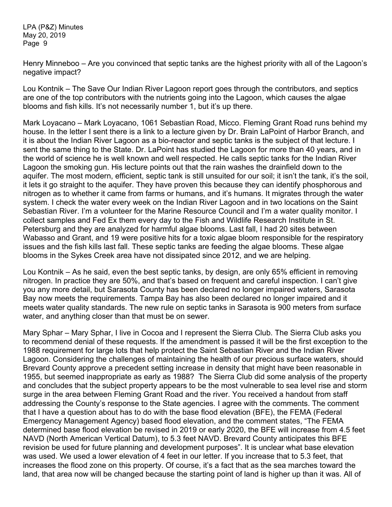Henry Minneboo – Are you convinced that septic tanks are the highest priority with all of the Lagoon's negative impact?

Lou Kontnik – The Save Our Indian River Lagoon report goes through the contributors, and septics are one of the top contributors with the nutrients going into the Lagoon, which causes the algae blooms and fish kills. It's not necessarily number 1, but it's up there.

Mark Loyacano – Mark Loyacano, 1061 Sebastian Road, Micco. Fleming Grant Road runs behind my house. In the letter I sent there is a link to a lecture given by Dr. Brain LaPoint of Harbor Branch, and it is about the Indian River Lagoon as a bio-reactor and septic tanks is the subject of that lecture. I sent the same thing to the State. Dr. LaPoint has studied the Lagoon for more than 40 years, and in the world of science he is well known and well respected. He calls septic tanks for the Indian River Lagoon the smoking gun. His lecture points out that the rain washes the drainfield down to the aquifer. The most modern, efficient, septic tank is still unsuited for our soil; it isn't the tank, it's the soil, it lets it go straight to the aquifer. They have proven this because they can identify phosphorous and nitrogen as to whether it came from farms or humans, and it's humans. It migrates through the water system. I check the water every week on the Indian River Lagoon and in two locations on the Saint Sebastian River. I'm a volunteer for the Marine Resource Council and I'm a water quality monitor. I collect samples and Fed Ex them every day to the Fish and Wildlife Research Institute in St. Petersburg and they are analyzed for harmful algae blooms. Last fall, I had 20 sites between Wabasso and Grant, and 19 were positive hits for a toxic algae bloom responsible for the respiratory issues and the fish kills last fall. These septic tanks are feeding the algae blooms. These algae blooms in the Sykes Creek area have not dissipated since 2012, and we are helping.

Lou Kontnik – As he said, even the best septic tanks, by design, are only 65% efficient in removing nitrogen. In practice they are 50%, and that's based on frequent and careful inspection. I can't give you any more detail, but Sarasota County has been declared no longer impaired waters, Sarasota Bay now meets the requirements. Tampa Bay has also been declared no longer impaired and it meets water quality standards. The new rule on septic tanks in Sarasota is 900 meters from surface water, and anything closer than that must be on sewer.

Mary Sphar – Mary Sphar, I live in Cocoa and I represent the Sierra Club. The Sierra Club asks you to recommend denial of these requests. If the amendment is passed it will be the first exception to the 1988 requirement for large lots that help protect the Saint Sebastian River and the Indian River Lagoon. Considering the challenges of maintaining the health of our precious surface waters, should Brevard County approve a precedent setting increase in density that might have been reasonable in 1955, but seemed inappropriate as early as 1988? The Sierra Club did some analysis of the property and concludes that the subject property appears to be the most vulnerable to sea level rise and storm surge in the area between Fleming Grant Road and the river. You received a handout from staff addressing the County's response to the State agencies. I agree with the comments. The comment that I have a question about has to do with the base flood elevation (BFE), the FEMA (Federal Emergency Management Agency) based flood elevation, and the comment states, "The FEMA determined base flood elevation be revised in 2019 or early 2020, the BFE will increase from 4.5 feet NAVD (North American Vertical Datum), to 5.3 feet NAVD. Brevard County anticipates this BFE revision be used for future planning and development purposes". It is unclear what base elevation was used. We used a lower elevation of 4 feet in our letter. If you increase that to 5.3 feet, that increases the flood zone on this property. Of course, it's a fact that as the sea marches toward the land, that area now will be changed because the starting point of land is higher up than it was. All of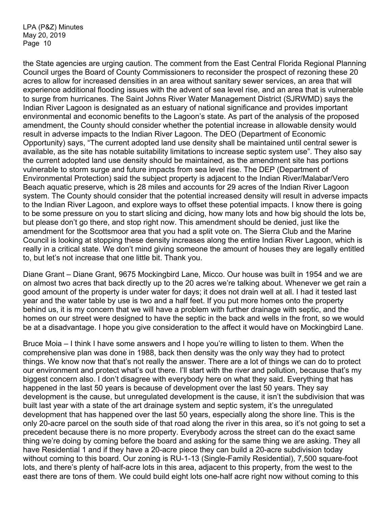the State agencies are urging caution. The comment from the East Central Florida Regional Planning Council urges the Board of County Commissioners to reconsider the prospect of rezoning these 20 acres to allow for increased densities in an area without sanitary sewer services, an area that will experience additional flooding issues with the advent of sea level rise, and an area that is vulnerable to surge from hurricanes. The Saint Johns River Water Management District (SJRWMD) says the Indian River Lagoon is designated as an estuary of national significance and provides important environmental and economic benefits to the Lagoon's state. As part of the analysis of the proposed amendment, the County should consider whether the potential increase in allowable density would result in adverse impacts to the Indian River Lagoon. The DEO (Department of Economic Opportunity) says, "The current adopted land use density shall be maintained until central sewer is available, as the site has notable suitability limitations to increase septic system use". They also say the current adopted land use density should be maintained, as the amendment site has portions vulnerable to storm surge and future impacts from sea level rise. The DEP (Department of Environmental Protection) said the subject property is adjacent to the Indian River/Malabar/Vero Beach aquatic preserve, which is 28 miles and accounts for 29 acres of the Indian River Lagoon system. The County should consider that the potential increased density will result in adverse impacts to the Indian River Lagoon, and explore ways to offset these potential impacts. I know there is going to be some pressure on you to start slicing and dicing, how many lots and how big should the lots be, but please don't go there, and stop right now. This amendment should be denied, just like the amendment for the Scottsmoor area that you had a split vote on. The Sierra Club and the Marine Council is looking at stopping these density increases along the entire Indian River Lagoon, which is really in a critical state. We don't mind giving someone the amount of houses they are legally entitled to, but let's not increase that one little bit. Thank you.

Diane Grant – Diane Grant, 9675 Mockingbird Lane, Micco. Our house was built in 1954 and we are on almost two acres that back directly up to the 20 acres we're talking about. Whenever we get rain a good amount of the property is under water for days; it does not drain well at all. I had it tested last year and the water table by use is two and a half feet. If you put more homes onto the property behind us, it is my concern that we will have a problem with further drainage with septic, and the homes on our street were designed to have the septic in the back and wells in the front, so we would be at a disadvantage. I hope you give consideration to the affect it would have on Mockingbird Lane.

Bruce Moia – I think I have some answers and I hope you're willing to listen to them. When the comprehensive plan was done in 1988, back then density was the only way they had to protect things. We know now that that's not really the answer. There are a lot of things we can do to protect our environment and protect what's out there. I'll start with the river and pollution, because that's my biggest concern also. I don't disagree with everybody here on what they said. Everything that has happened in the last 50 years is because of development over the last 50 years. They say development is the cause, but unregulated development is the cause, it isn't the subdivision that was built last year with a state of the art drainage system and septic system, it's the unregulated development that has happened over the last 50 years, especially along the shore line. This is the only 20-acre parcel on the south side of that road along the river in this area, so it's not going to set a precedent because there is no more property. Everybody across the street can do the exact same thing we're doing by coming before the board and asking for the same thing we are asking. They all have Residential 1 and if they have a 20-acre piece they can build a 20-acre subdivision today without coming to this board. Our zoning is RU-1-13 (Single-Family Residential), 7,500 square-foot lots, and there's plenty of half-acre lots in this area, adjacent to this property, from the west to the east there are tons of them. We could build eight lots one-half acre right now without coming to this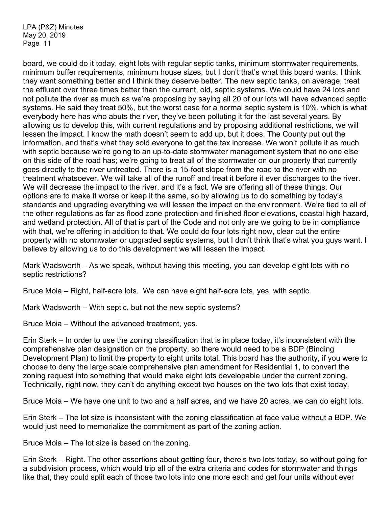board, we could do it today, eight lots with regular septic tanks, minimum stormwater requirements, minimum buffer requirements, minimum house sizes, but I don't that's what this board wants. I think they want something better and I think they deserve better. The new septic tanks, on average, treat the effluent over three times better than the current, old, septic systems. We could have 24 lots and not pollute the river as much as we're proposing by saying all 20 of our lots will have advanced septic systems. He said they treat 50%, but the worst case for a normal septic system is 10%, which is what everybody here has who abuts the river, they've been polluting it for the last several years. By allowing us to develop this, with current regulations and by proposing additional restrictions, we will lessen the impact. I know the math doesn't seem to add up, but it does. The County put out the information, and that's what they sold everyone to get the tax increase. We won't pollute it as much with septic because we're going to an up-to-date stormwater management system that no one else on this side of the road has; we're going to treat all of the stormwater on our property that currently goes directly to the river untreated. There is a 15-foot slope from the road to the river with no treatment whatsoever. We will take all of the runoff and treat it before it ever discharges to the river. We will decrease the impact to the river, and it's a fact. We are offering all of these things. Our options are to make it worse or keep it the same, so by allowing us to do something by today's standards and upgrading everything we will lessen the impact on the environment. We're tied to all of the other regulations as far as flood zone protection and finished floor elevations, coastal high hazard, and wetland protection. All of that is part of the Code and not only are we going to be in compliance with that, we're offering in addition to that. We could do four lots right now, clear cut the entire property with no stormwater or upgraded septic systems, but I don't think that's what you guys want. I believe by allowing us to do this development we will lessen the impact.

Mark Wadsworth – As we speak, without having this meeting, you can develop eight lots with no septic restrictions?

Bruce Moia – Right, half-acre lots. We can have eight half-acre lots, yes, with septic.

Mark Wadsworth – With septic, but not the new septic systems?

Bruce Moia – Without the advanced treatment, yes.

Erin Sterk – In order to use the zoning classification that is in place today, it's inconsistent with the comprehensive plan designation on the property, so there would need to be a BDP (Binding Development Plan) to limit the property to eight units total. This board has the authority, if you were to choose to deny the large scale comprehensive plan amendment for Residential 1, to convert the zoning request into something that would make eight lots developable under the current zoning. Technically, right now, they can't do anything except two houses on the two lots that exist today.

Bruce Moia – We have one unit to two and a half acres, and we have 20 acres, we can do eight lots.

Erin Sterk – The lot size is inconsistent with the zoning classification at face value without a BDP. We would just need to memorialize the commitment as part of the zoning action.

Bruce Moia – The lot size is based on the zoning.

Erin Sterk – Right. The other assertions about getting four, there's two lots today, so without going for a subdivision process, which would trip all of the extra criteria and codes for stormwater and things like that, they could split each of those two lots into one more each and get four units without ever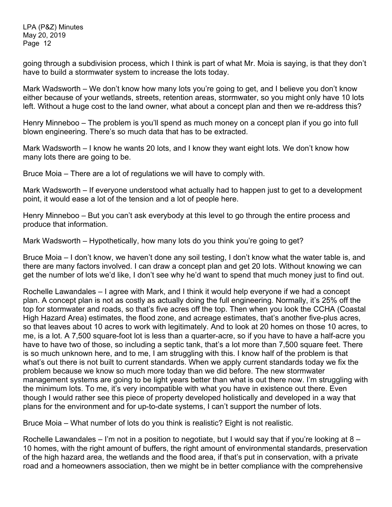going through a subdivision process, which I think is part of what Mr. Moia is saying, is that they don't have to build a stormwater system to increase the lots today.

Mark Wadsworth – We don't know how many lots you're going to get, and I believe you don't know either because of your wetlands, streets, retention areas, stormwater, so you might only have 10 lots left. Without a huge cost to the land owner, what about a concept plan and then we re-address this?

Henry Minneboo – The problem is you'll spend as much money on a concept plan if you go into full blown engineering. There's so much data that has to be extracted.

Mark Wadsworth – I know he wants 20 lots, and I know they want eight lots. We don't know how many lots there are going to be.

Bruce Moia – There are a lot of regulations we will have to comply with.

Mark Wadsworth – If everyone understood what actually had to happen just to get to a development point, it would ease a lot of the tension and a lot of people here.

Henry Minneboo – But you can't ask everybody at this level to go through the entire process and produce that information.

Mark Wadsworth – Hypothetically, how many lots do you think you're going to get?

Bruce Moia – I don't know, we haven't done any soil testing, I don't know what the water table is, and there are many factors involved. I can draw a concept plan and get 20 lots. Without knowing we can get the number of lots we'd like, I don't see why he'd want to spend that much money just to find out.

Rochelle Lawandales – I agree with Mark, and I think it would help everyone if we had a concept plan. A concept plan is not as costly as actually doing the full engineering. Normally, it's 25% off the top for stormwater and roads, so that's five acres off the top. Then when you look the CCHA (Coastal High Hazard Area) estimates, the flood zone, and acreage estimates, that's another five-plus acres, so that leaves about 10 acres to work with legitimately. And to look at 20 homes on those 10 acres, to me, is a lot. A 7,500 square-foot lot is less than a quarter-acre, so if you have to have a half-acre you have to have two of those, so including a septic tank, that's a lot more than 7,500 square feet. There is so much unknown here, and to me, I am struggling with this. I know half of the problem is that what's out there is not built to current standards. When we apply current standards today we fix the problem because we know so much more today than we did before. The new stormwater management systems are going to be light years better than what is out there now. I'm struggling with the minimum lots. To me, it's very incompatible with what you have in existence out there. Even though I would rather see this piece of property developed holistically and developed in a way that plans for the environment and for up-to-date systems, I can't support the number of lots.

Bruce Moia – What number of lots do you think is realistic? Eight is not realistic.

Rochelle Lawandales – I'm not in a position to negotiate, but I would say that if you're looking at  $8 -$ 10 homes, with the right amount of buffers, the right amount of environmental standards, preservation of the high hazard area, the wetlands and the flood area, if that's put in conservation, with a private road and a homeowners association, then we might be in better compliance with the comprehensive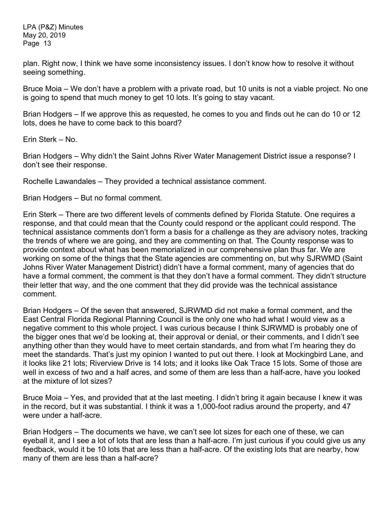plan. Right now, I think we have some inconsistency issues. I don't know how to resolve it without seeing something.

Bruce Moia – We don't have a problem with a private road, but 10 units is not a viable project. No one is going to spend that much money to get 10 lots. It's going to stay vacant.

Brian Hodgers – If we approve this as requested, he comes to you and finds out he can do 10 or 12 lots, does he have to come back to this board?

Erin Sterk – No.

Brian Hodgers – Why didn't the Saint Johns River Water Management District issue a response? I don't see their response.

Rochelle Lawandales – They provided a technical assistance comment.

Brian Hodgers – But no formal comment.

Erin Sterk – There are two different levels of comments defined by Florida Statute. One requires a response, and that could mean that the County could respond or the applicant could respond. The technical assistance comments don't form a basis for a challenge as they are advisory notes, tracking the trends of where we are going, and they are commenting on that. The County response was to provide context about what has been memorialized in our comprehensive plan thus far. We are working on some of the things that the State agencies are commenting on, but why SJRWMD (Saint Johns River Water Management District) didn't have a formal comment, many of agencies that do have a formal comment, the comment is that they don't have a formal comment. They didn't structure their letter that way, and the one comment that they did provide was the technical assistance comment.

Brian Hodgers – Of the seven that answered, SJRWMD did not make a formal comment, and the East Central Florida Regional Planning Council is the only one who had what I would view as a negative comment to this whole project. I was curious because I think SJRWMD is probably one of the bigger ones that we'd be looking at, their approval or denial, or their comments, and I didn't see anything other than they would have to meet certain standards, and from what I'm hearing they do meet the standards. That's just my opinion I wanted to put out there. I look at Mockingbird Lane, and it looks like 21 lots; Riverview Drive is 14 lots; and it looks like Oak Trace 15 lots. Some of those are well in excess of two and a half acres, and some of them are less than a half-acre, have you looked at the mixture of lot sizes?

Bruce Moia – Yes, and provided that at the last meeting. I didn't bring it again because I knew it was in the record, but it was substantial. I think it was a 1,000-foot radius around the property, and 47 were under a half-acre.

Brian Hodgers – The documents we have, we can't see lot sizes for each one of these, we can eyeball it, and I see a lot of lots that are less than a half-acre. I'm just curious if you could give us any feedback, would it be 10 lots that are less than a half-acre. Of the existing lots that are nearby, how many of them are less than a half-acre?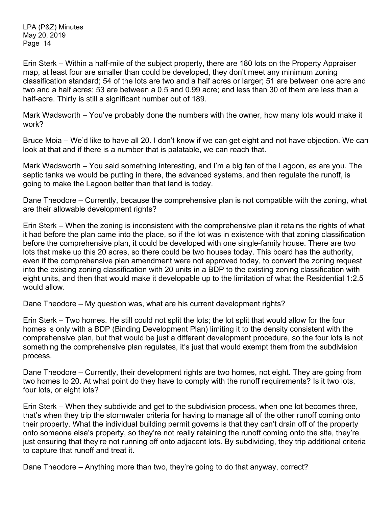Erin Sterk – Within a half-mile of the subject property, there are 180 lots on the Property Appraiser map, at least four are smaller than could be developed, they don't meet any minimum zoning classification standard; 54 of the lots are two and a half acres or larger; 51 are between one acre and two and a half acres; 53 are between a 0.5 and 0.99 acre; and less than 30 of them are less than a half-acre. Thirty is still a significant number out of 189.

Mark Wadsworth – You've probably done the numbers with the owner, how many lots would make it work?

Bruce Moia – We'd like to have all 20. I don't know if we can get eight and not have objection. We can look at that and if there is a number that is palatable, we can reach that.

Mark Wadsworth – You said something interesting, and I'm a big fan of the Lagoon, as are you. The septic tanks we would be putting in there, the advanced systems, and then regulate the runoff, is going to make the Lagoon better than that land is today.

Dane Theodore – Currently, because the comprehensive plan is not compatible with the zoning, what are their allowable development rights?

Erin Sterk – When the zoning is inconsistent with the comprehensive plan it retains the rights of what it had before the plan came into the place, so if the lot was in existence with that zoning classification before the comprehensive plan, it could be developed with one single-family house. There are two lots that make up this 20 acres, so there could be two houses today. This board has the authority, even if the comprehensive plan amendment were not approved today, to convert the zoning request into the existing zoning classification with 20 units in a BDP to the existing zoning classification with eight units, and then that would make it developable up to the limitation of what the Residential 1:2.5 would allow.

Dane Theodore – My question was, what are his current development rights?

Erin Sterk – Two homes. He still could not split the lots; the lot split that would allow for the four homes is only with a BDP (Binding Development Plan) limiting it to the density consistent with the comprehensive plan, but that would be just a different development procedure, so the four lots is not something the comprehensive plan regulates, it's just that would exempt them from the subdivision process.

Dane Theodore – Currently, their development rights are two homes, not eight. They are going from two homes to 20. At what point do they have to comply with the runoff requirements? Is it two lots, four lots, or eight lots?

Erin Sterk – When they subdivide and get to the subdivision process, when one lot becomes three, that's when they trip the stormwater criteria for having to manage all of the other runoff coming onto their property. What the individual building permit governs is that they can't drain off of the property onto someone else's property, so they're not really retaining the runoff coming onto the site, they're just ensuring that they're not running off onto adjacent lots. By subdividing, they trip additional criteria to capture that runoff and treat it.

Dane Theodore – Anything more than two, they're going to do that anyway, correct?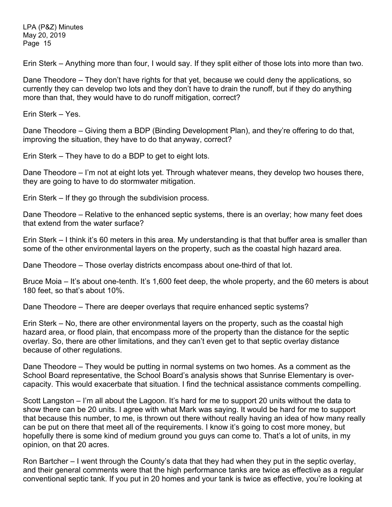Erin Sterk – Anything more than four, I would say. If they split either of those lots into more than two.

Dane Theodore – They don't have rights for that yet, because we could deny the applications, so currently they can develop two lots and they don't have to drain the runoff, but if they do anything more than that, they would have to do runoff mitigation, correct?

Erin Sterk – Yes.

Dane Theodore – Giving them a BDP (Binding Development Plan), and they're offering to do that, improving the situation, they have to do that anyway, correct?

Erin Sterk – They have to do a BDP to get to eight lots.

Dane Theodore – I'm not at eight lots yet. Through whatever means, they develop two houses there, they are going to have to do stormwater mitigation.

Erin Sterk – If they go through the subdivision process.

Dane Theodore – Relative to the enhanced septic systems, there is an overlay; how many feet does that extend from the water surface?

Erin Sterk – I think it's 60 meters in this area. My understanding is that that buffer area is smaller than some of the other environmental layers on the property, such as the coastal high hazard area.

Dane Theodore – Those overlay districts encompass about one-third of that lot.

Bruce Moia – It's about one-tenth. It's 1,600 feet deep, the whole property, and the 60 meters is about 180 feet, so that's about 10%.

Dane Theodore – There are deeper overlays that require enhanced septic systems?

Erin Sterk – No, there are other environmental layers on the property, such as the coastal high hazard area, or flood plain, that encompass more of the property than the distance for the septic overlay. So, there are other limitations, and they can't even get to that septic overlay distance because of other regulations.

Dane Theodore – They would be putting in normal systems on two homes. As a comment as the School Board representative, the School Board's analysis shows that Sunrise Elementary is overcapacity. This would exacerbate that situation. I find the technical assistance comments compelling.

Scott Langston – I'm all about the Lagoon. It's hard for me to support 20 units without the data to show there can be 20 units. I agree with what Mark was saying. It would be hard for me to support that because this number, to me, is thrown out there without really having an idea of how many really can be put on there that meet all of the requirements. I know it's going to cost more money, but hopefully there is some kind of medium ground you guys can come to. That's a lot of units, in my opinion, on that 20 acres.

Ron Bartcher – I went through the County's data that they had when they put in the septic overlay, and their general comments were that the high performance tanks are twice as effective as a regular conventional septic tank. If you put in 20 homes and your tank is twice as effective, you're looking at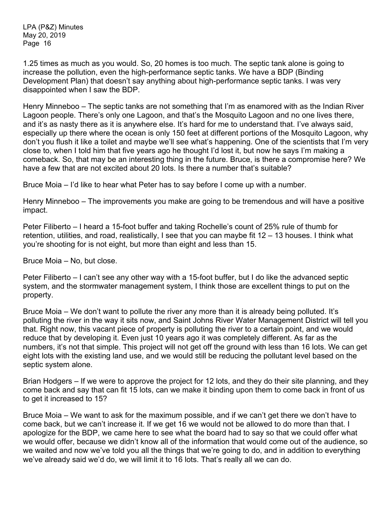1.25 times as much as you would. So, 20 homes is too much. The septic tank alone is going to increase the pollution, even the high-performance septic tanks. We have a BDP (Binding Development Plan) that doesn't say anything about high-performance septic tanks. I was very disappointed when I saw the BDP.

Henry Minneboo – The septic tanks are not something that I'm as enamored with as the Indian River Lagoon people. There's only one Lagoon, and that's the Mosquito Lagoon and no one lives there, and it's as nasty there as it is anywhere else. It's hard for me to understand that. I've always said, especially up there where the ocean is only 150 feet at different portions of the Mosquito Lagoon, why don't you flush it like a toilet and maybe we'll see what's happening. One of the scientists that I'm very close to, when I told him that five years ago he thought I'd lost it, but now he says I'm making a comeback. So, that may be an interesting thing in the future. Bruce, is there a compromise here? We have a few that are not excited about 20 lots. Is there a number that's suitable?

Bruce Moia – I'd like to hear what Peter has to say before I come up with a number.

Henry Minneboo – The improvements you make are going to be tremendous and will have a positive impact.

Peter Filiberto – I heard a 15-foot buffer and taking Rochelle's count of 25% rule of thumb for retention, utilities, and road, realistically, I see that you can maybe fit 12 – 13 houses. I think what you're shooting for is not eight, but more than eight and less than 15.

Bruce Moia – No, but close.

Peter Filiberto – I can't see any other way with a 15-foot buffer, but I do like the advanced septic system, and the stormwater management system, I think those are excellent things to put on the property.

Bruce Moia – We don't want to pollute the river any more than it is already being polluted. It's polluting the river in the way it sits now, and Saint Johns River Water Management District will tell you that. Right now, this vacant piece of property is polluting the river to a certain point, and we would reduce that by developing it. Even just 10 years ago it was completely different. As far as the numbers, it's not that simple. This project will not get off the ground with less than 16 lots. We can get eight lots with the existing land use, and we would still be reducing the pollutant level based on the septic system alone.

Brian Hodgers – If we were to approve the project for 12 lots, and they do their site planning, and they come back and say that can fit 15 lots, can we make it binding upon them to come back in front of us to get it increased to 15?

Bruce Moia – We want to ask for the maximum possible, and if we can't get there we don't have to come back, but we can't increase it. If we get 16 we would not be allowed to do more than that. I apologize for the BDP, we came here to see what the board had to say so that we could offer what we would offer, because we didn't know all of the information that would come out of the audience, so we waited and now we've told you all the things that we're going to do, and in addition to everything we've already said we'd do, we will limit it to 16 lots. That's really all we can do.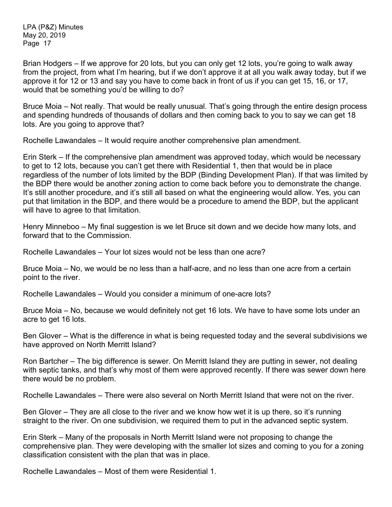Brian Hodgers – If we approve for 20 lots, but you can only get 12 lots, you're going to walk away from the project, from what I'm hearing, but if we don't approve it at all you walk away today, but if we approve it for 12 or 13 and say you have to come back in front of us if you can get 15, 16, or 17, would that be something you'd be willing to do?

Bruce Moia – Not really. That would be really unusual. That's going through the entire design process and spending hundreds of thousands of dollars and then coming back to you to say we can get 18 lots. Are you going to approve that?

Rochelle Lawandales – It would require another comprehensive plan amendment.

Erin Sterk – If the comprehensive plan amendment was approved today, which would be necessary to get to 12 lots, because you can't get there with Residential 1, then that would be in place regardless of the number of lots limited by the BDP (Binding Development Plan). If that was limited by the BDP there would be another zoning action to come back before you to demonstrate the change. It's still another procedure, and it's still all based on what the engineering would allow. Yes, you can put that limitation in the BDP, and there would be a procedure to amend the BDP, but the applicant will have to agree to that limitation.

Henry Minneboo – My final suggestion is we let Bruce sit down and we decide how many lots, and forward that to the Commission.

Rochelle Lawandales – Your lot sizes would not be less than one acre?

Bruce Moia – No, we would be no less than a half-acre, and no less than one acre from a certain point to the river.

Rochelle Lawandales – Would you consider a minimum of one-acre lots?

Bruce Moia – No, because we would definitely not get 16 lots. We have to have some lots under an acre to get 16 lots.

Ben Glover – What is the difference in what is being requested today and the several subdivisions we have approved on North Merritt Island?

Ron Bartcher – The big difference is sewer. On Merritt Island they are putting in sewer, not dealing with septic tanks, and that's why most of them were approved recently. If there was sewer down here there would be no problem.

Rochelle Lawandales – There were also several on North Merritt Island that were not on the river.

Ben Glover – They are all close to the river and we know how wet it is up there, so it's running straight to the river. On one subdivision, we required them to put in the advanced septic system.

Erin Sterk – Many of the proposals in North Merritt Island were not proposing to change the comprehensive plan. They were developing with the smaller lot sizes and coming to you for a zoning classification consistent with the plan that was in place.

Rochelle Lawandales – Most of them were Residential 1.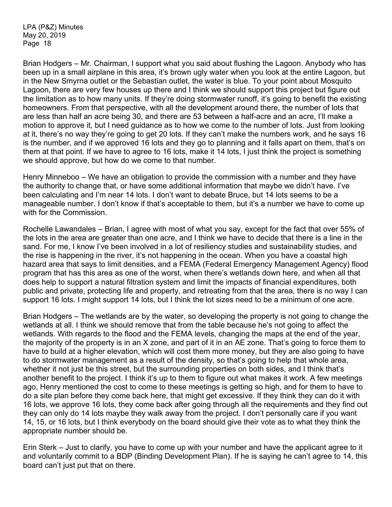Brian Hodgers – Mr. Chairman, I support what you said about flushing the Lagoon. Anybody who has been up in a small airplane in this area, it's brown ugly water when you look at the entire Lagoon, but in the New Smyrna outlet or the Sebastian outlet, the water is blue. To your point about Mosquito Lagoon, there are very few houses up there and I think we should support this project but figure out the limitation as to how many units. If they're doing stormwater runoff, it's going to benefit the existing homeowners. From that perspective, with all the development around there, the number of lots that are less than half an acre being 30, and there are 53 between a half-acre and an acre, I'll make a motion to approve it, but I need guidance as to how we come to the number of lots. Just from looking at it, there's no way they're going to get 20 lots. If they can't make the numbers work, and he says 16 is the number, and if we approved 16 lots and they go to planning and it falls apart on them, that's on them at that point. If we have to agree to 16 lots, make it 14 lots, I just think the project is something we should approve, but how do we come to that number.

Henry Minneboo – We have an obligation to provide the commission with a number and they have the authority to change that, or have some additional information that maybe we didn't have. I've been calculating and I'm near 14 lots. I don't want to debate Bruce, but 14 lots seems to be a manageable number. I don't know if that's acceptable to them, but it's a number we have to come up with for the Commission.

Rochelle Lawandales – Brian, I agree with most of what you say, except for the fact that over 55% of the lots in the area are greater than one acre, and I think we have to decide that there is a line in the sand. For me, I know I've been involved in a lot of resiliency studies and sustainability studies, and the rise is happening in the river, it's not happening in the ocean. When you have a coastal high hazard area that says to limit densities, and a FEMA (Federal Emergency Management Agency) flood program that has this area as one of the worst, when there's wetlands down here, and when all that does help to support a natural filtration system and limit the impacts of financial expenditures, both public and private, protecting life and property, and retreating from that the area, there is no way I can support 16 lots. I might support 14 lots, but I think the lot sizes need to be a minimum of one acre.

Brian Hodgers – The wetlands are by the water, so developing the property is not going to change the wetlands at all. I think we should remove that from the table because he's not going to affect the wetlands. With regards to the flood and the FEMA levels, changing the maps at the end of the year, the majority of the property is in an X zone, and part of it in an AE zone. That's going to force them to have to build at a higher elevation, which will cost them more money, but they are also going to have to do stormwater management as a result of the density, so that's going to help that whole area, whether it not just be this street, but the surrounding properties on both sides, and I think that's another benefit to the project. I think it's up to them to figure out what makes it work. A few meetings ago, Henry mentioned the cost to come to these meetings is getting so high, and for them to have to do a site plan before they come back here, that might get excessive. If they think they can do it with 16 lots, we approve 16 lots, they come back after going through all the requirements and they find out they can only do 14 lots maybe they walk away from the project. I don't personally care if you want 14, 15, or 16 lots, but I think everybody on the board should give their vote as to what they think the appropriate number should be.

Erin Sterk – Just to clarify, you have to come up with your number and have the applicant agree to it and voluntarily commit to a BDP (Binding Development Plan). If he is saying he can't agree to 14, this board can't just put that on there.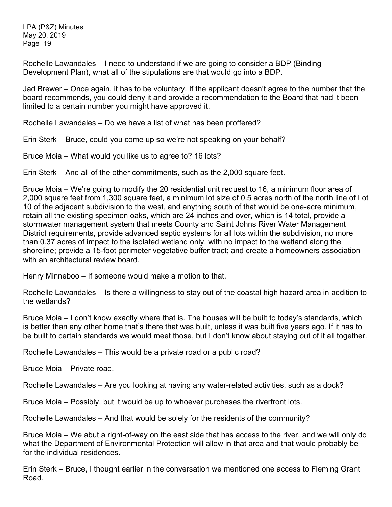Rochelle Lawandales – I need to understand if we are going to consider a BDP (Binding Development Plan), what all of the stipulations are that would go into a BDP.

Jad Brewer – Once again, it has to be voluntary. If the applicant doesn't agree to the number that the board recommends, you could deny it and provide a recommendation to the Board that had it been limited to a certain number you might have approved it.

Rochelle Lawandales – Do we have a list of what has been proffered?

Erin Sterk – Bruce, could you come up so we're not speaking on your behalf?

Bruce Moia – What would you like us to agree to? 16 lots?

Erin Sterk – And all of the other commitments, such as the 2,000 square feet.

Bruce Moia – We're going to modify the 20 residential unit request to 16, a minimum floor area of 2,000 square feet from 1,300 square feet, a minimum lot size of 0.5 acres north of the north line of Lot 10 of the adjacent subdivision to the west, and anything south of that would be one-acre minimum, retain all the existing specimen oaks, which are 24 inches and over, which is 14 total, provide a stormwater management system that meets County and Saint Johns River Water Management District requirements, provide advanced septic systems for all lots within the subdivision, no more than 0.37 acres of impact to the isolated wetland only, with no impact to the wetland along the shoreline; provide a 15-foot perimeter vegetative buffer tract; and create a homeowners association with an architectural review board.

Henry Minneboo – If someone would make a motion to that.

Rochelle Lawandales – Is there a willingness to stay out of the coastal high hazard area in addition to the wetlands?

Bruce Moia – I don't know exactly where that is. The houses will be built to today's standards, which is better than any other home that's there that was built, unless it was built five years ago. If it has to be built to certain standards we would meet those, but I don't know about staying out of it all together.

Rochelle Lawandales – This would be a private road or a public road?

Bruce Moia – Private road.

Rochelle Lawandales – Are you looking at having any water-related activities, such as a dock?

Bruce Moia – Possibly, but it would be up to whoever purchases the riverfront lots.

Rochelle Lawandales – And that would be solely for the residents of the community?

Bruce Moia – We abut a right-of-way on the east side that has access to the river, and we will only do what the Department of Environmental Protection will allow in that area and that would probably be for the individual residences.

Erin Sterk – Bruce, I thought earlier in the conversation we mentioned one access to Fleming Grant Road.